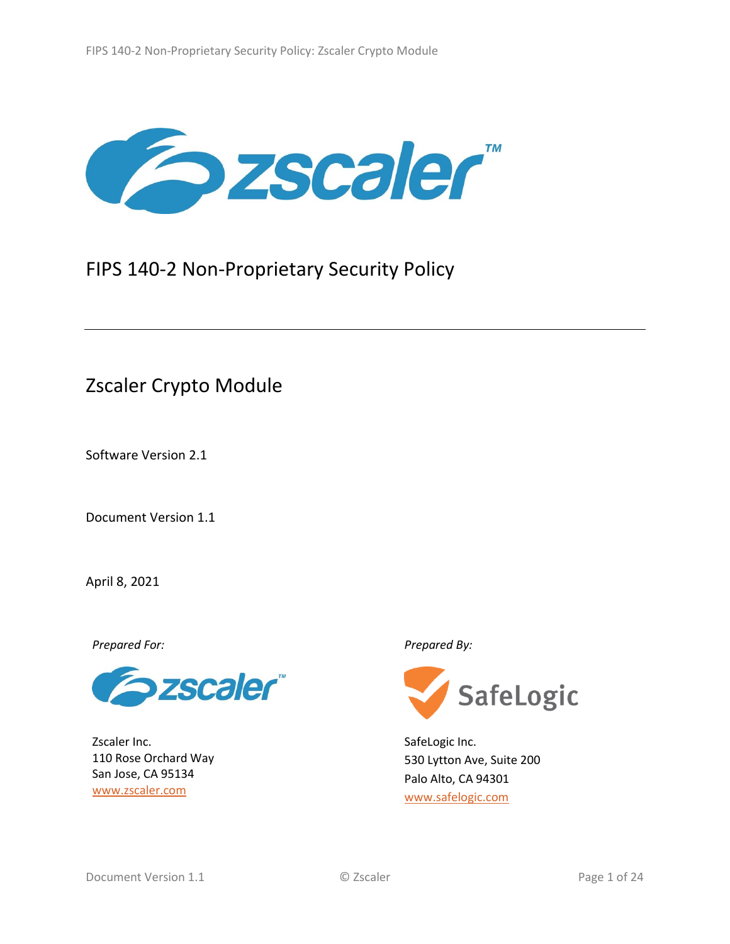

# FIPS 140-2 Non-Proprietary Security Policy

# Zscaler Crypto Module

Software Version 2.1

Document Version 1.1

April 8, 2021

*Prepared For: Prepared By:*



Zscaler Inc. 110 Rose Orchard Way San Jose, CA 95134 [www.zscaler.com](http://www.zscaler.com/)



SafeLogic Inc. 530 Lytton Ave, Suite 200 Palo Alto, CA 94301 [www.safelogic.com](http://www.safelogic.com/)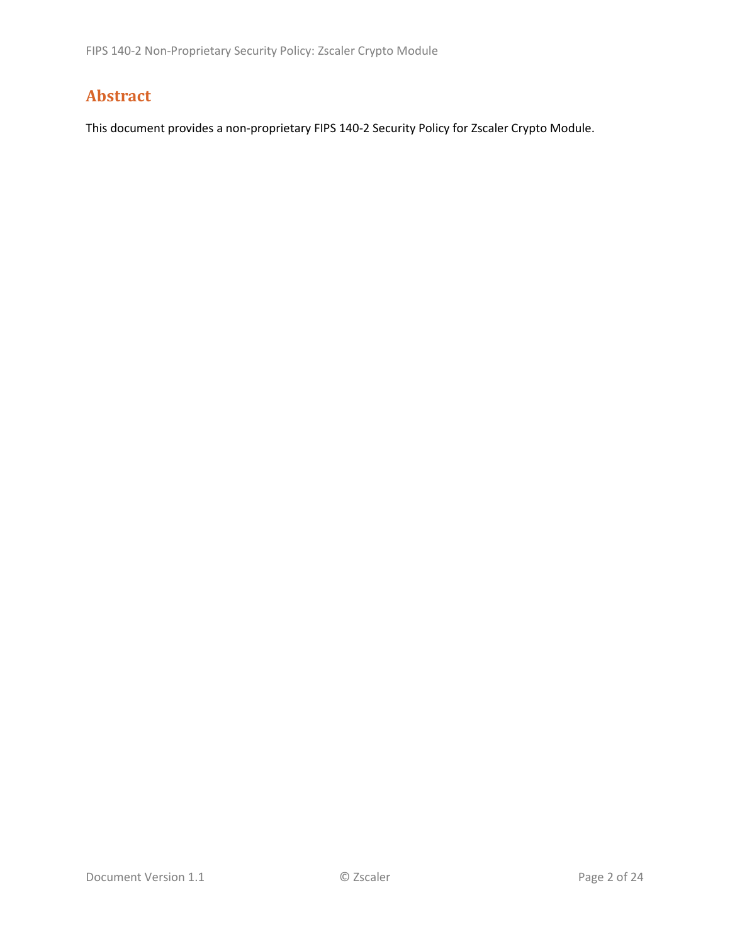## **Abstract**

This document provides a non-proprietary FIPS 140-2 Security Policy for Zscaler Crypto Module.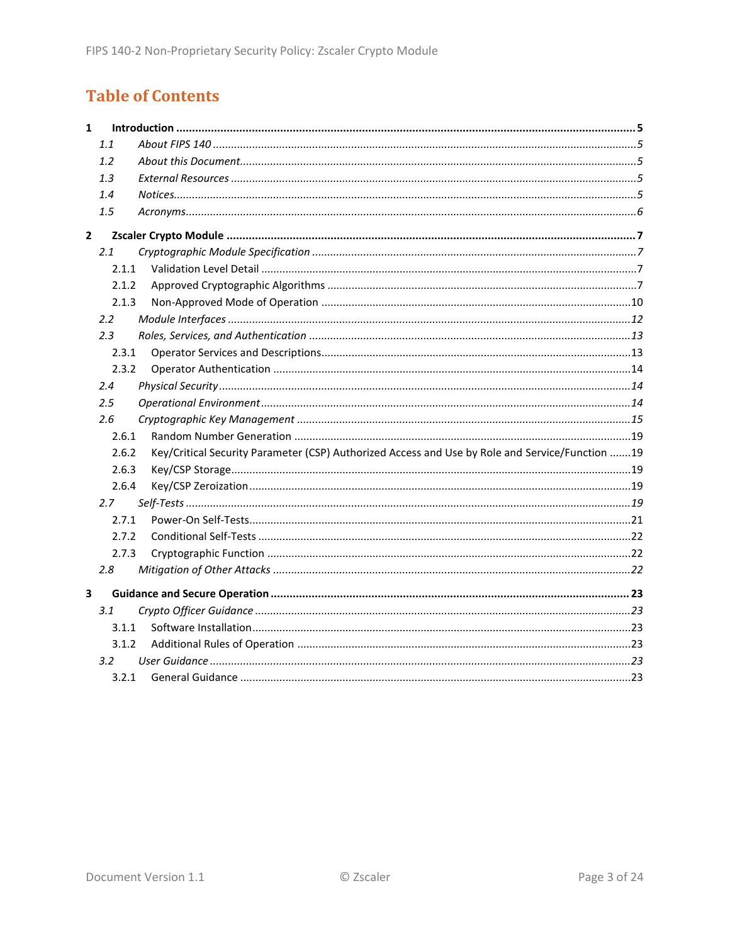# **Table of Contents**

| $\mathbf{1}$ |         |                                                                                                 |  |
|--------------|---------|-------------------------------------------------------------------------------------------------|--|
|              | 1.1     |                                                                                                 |  |
|              | 1.2     |                                                                                                 |  |
|              | 1.3     |                                                                                                 |  |
|              | 1.4     |                                                                                                 |  |
|              | 1.5     |                                                                                                 |  |
| $\mathbf{2}$ |         |                                                                                                 |  |
|              | 2.1     |                                                                                                 |  |
|              | 2.1.1   |                                                                                                 |  |
|              | 2.1.2   |                                                                                                 |  |
|              | 2.1.3   |                                                                                                 |  |
|              | 2.2     |                                                                                                 |  |
|              | 2.3     |                                                                                                 |  |
|              | 2.3.1   |                                                                                                 |  |
|              | 2.3.2   |                                                                                                 |  |
|              | 2.4     |                                                                                                 |  |
|              | $2.5\,$ |                                                                                                 |  |
|              | 2.6     |                                                                                                 |  |
|              | 2.6.1   |                                                                                                 |  |
|              | 2.6.2   | Key/Critical Security Parameter (CSP) Authorized Access and Use by Role and Service/Function 19 |  |
|              | 2.6.3   |                                                                                                 |  |
|              | 2.6.4   |                                                                                                 |  |
|              | 2.7     |                                                                                                 |  |
|              | 2.7.1   |                                                                                                 |  |
|              | 2.7.2   |                                                                                                 |  |
|              | 2.7.3   |                                                                                                 |  |
|              | 2.8     |                                                                                                 |  |
| 3            |         |                                                                                                 |  |
|              | 3.1     |                                                                                                 |  |
|              | 3.1.1   |                                                                                                 |  |
|              | 3.1.2   |                                                                                                 |  |
|              | 3.2     |                                                                                                 |  |
|              | 3.2.1   |                                                                                                 |  |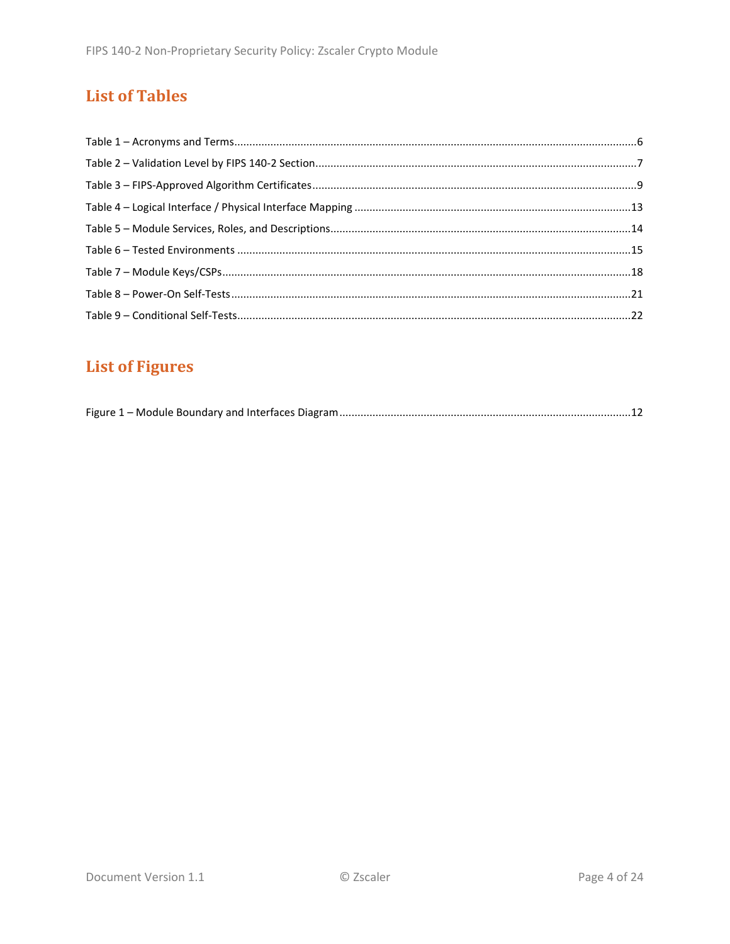# **List of Tables**

# **List of Figures**

|--|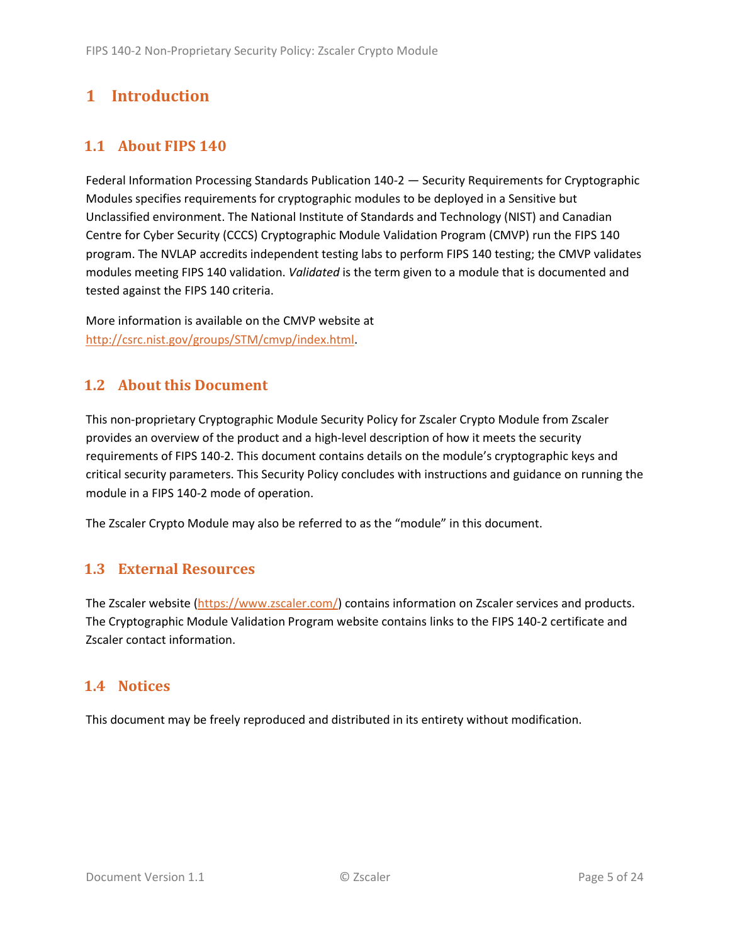## <span id="page-4-0"></span>**1 Introduction**

#### <span id="page-4-1"></span>**1.1 About FIPS 140**

Federal Information Processing Standards Publication 140-2 — Security Requirements for Cryptographic Modules specifies requirements for cryptographic modules to be deployed in a Sensitive but Unclassified environment. The National Institute of Standards and Technology (NIST) and Canadian Centre for Cyber Security (CCCS) Cryptographic Module Validation Program (CMVP) run the FIPS 140 program. The NVLAP accredits independent testing labs to perform FIPS 140 testing; the CMVP validates modules meeting FIPS 140 validation. *Validated* is the term given to a module that is documented and tested against the FIPS 140 criteria.

More information is available on the CMVP website at [http://csrc.nist.gov/groups/STM/cmvp/index.html.](http://csrc.nist.gov/groups/STM/cmvp/index.html)

#### <span id="page-4-2"></span>**1.2 About this Document**

This non-proprietary Cryptographic Module Security Policy for Zscaler Crypto Module from Zscaler provides an overview of the product and a high-level description of how it meets the security requirements of FIPS 140-2. This document contains details on the module's cryptographic keys and critical security parameters. This Security Policy concludes with instructions and guidance on running the module in a FIPS 140-2 mode of operation.

The Zscaler Crypto Module may also be referred to as the "module" in this document.

#### <span id="page-4-3"></span>**1.3 External Resources**

The Zscaler website [\(https://www.zscaler.com/\)](https://www.zscaler.com/) contains information on Zscaler services and products. The Cryptographic Module Validation Program website contains links to the FIPS 140-2 certificate and Zscaler contact information.

#### <span id="page-4-4"></span>**1.4 Notices**

This document may be freely reproduced and distributed in its entirety without modification.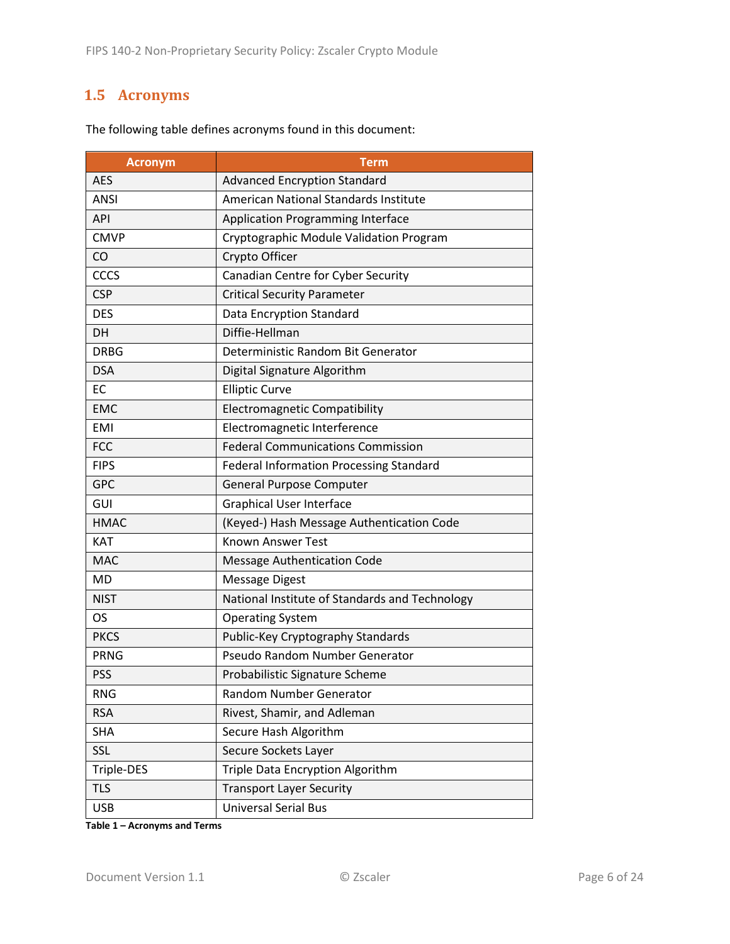### <span id="page-5-0"></span>**1.5 Acronyms**

| <b>Acronym</b> | <b>Term</b>                                    |  |
|----------------|------------------------------------------------|--|
| <b>AES</b>     | <b>Advanced Encryption Standard</b>            |  |
| <b>ANSI</b>    | American National Standards Institute          |  |
| <b>API</b>     | <b>Application Programming Interface</b>       |  |
| <b>CMVP</b>    | Cryptographic Module Validation Program        |  |
| CO             | Crypto Officer                                 |  |
| CCCS           | Canadian Centre for Cyber Security             |  |
| <b>CSP</b>     | <b>Critical Security Parameter</b>             |  |
| <b>DES</b>     | Data Encryption Standard                       |  |
| DH.            | Diffie-Hellman                                 |  |
| <b>DRBG</b>    | Deterministic Random Bit Generator             |  |
| <b>DSA</b>     | Digital Signature Algorithm                    |  |
| EC             | <b>Elliptic Curve</b>                          |  |
| <b>EMC</b>     | <b>Electromagnetic Compatibility</b>           |  |
| <b>EMI</b>     | Electromagnetic Interference                   |  |
| <b>FCC</b>     | <b>Federal Communications Commission</b>       |  |
| <b>FIPS</b>    | Federal Information Processing Standard        |  |
| <b>GPC</b>     | <b>General Purpose Computer</b>                |  |
| GUI            | <b>Graphical User Interface</b>                |  |
| <b>HMAC</b>    | (Keyed-) Hash Message Authentication Code      |  |
| <b>KAT</b>     | <b>Known Answer Test</b>                       |  |
| <b>MAC</b>     | <b>Message Authentication Code</b>             |  |
| <b>MD</b>      | <b>Message Digest</b>                          |  |
| <b>NIST</b>    | National Institute of Standards and Technology |  |
| OS             | <b>Operating System</b>                        |  |
| <b>PKCS</b>    | Public-Key Cryptography Standards              |  |
| <b>PRNG</b>    | Pseudo Random Number Generator                 |  |
| <b>PSS</b>     | Probabilistic Signature Scheme                 |  |
| <b>RNG</b>     | Random Number Generator                        |  |
| <b>RSA</b>     | Rivest, Shamir, and Adleman                    |  |
| <b>SHA</b>     | Secure Hash Algorithm                          |  |
| <b>SSL</b>     | Secure Sockets Layer                           |  |
| Triple-DES     | Triple Data Encryption Algorithm               |  |
| <b>TLS</b>     | <b>Transport Layer Security</b>                |  |
| <b>USB</b>     | <b>Universal Serial Bus</b>                    |  |

The following table defines acronyms found in this document:

**Table 1 – Acronyms and Terms**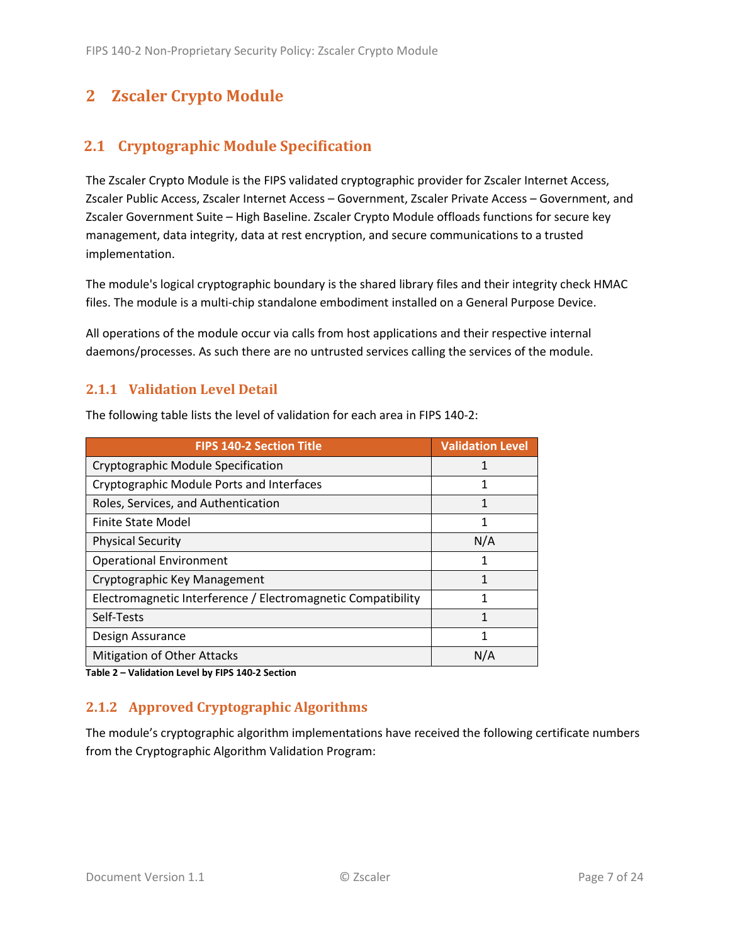### <span id="page-6-0"></span>**2 Zscaler Crypto Module**

#### <span id="page-6-1"></span>**2.1 Cryptographic Module Specification**

The Zscaler Crypto Module is the FIPS validated cryptographic provider for Zscaler Internet Access, Zscaler Public Access, Zscaler Internet Access – Government, Zscaler Private Access – Government, and Zscaler Government Suite – High Baseline. Zscaler Crypto Module offloads functions for secure key management, data integrity, data at rest encryption, and secure communications to a trusted implementation.

The module's logical cryptographic boundary is the shared library files and their integrity check HMAC files. The module is a multi-chip standalone embodiment installed on a General Purpose Device.

All operations of the module occur via calls from host applications and their respective internal daemons/processes. As such there are no untrusted services calling the services of the module.

#### <span id="page-6-2"></span>**2.1.1 Validation Level Detail**

The following table lists the level of validation for each area in FIPS 140-2:

| <b>FIPS 140-2 Section Title</b>                              | <b>Validation Level</b> |
|--------------------------------------------------------------|-------------------------|
| Cryptographic Module Specification                           | 1                       |
| Cryptographic Module Ports and Interfaces                    | 1                       |
| Roles, Services, and Authentication                          | 1                       |
| Finite State Model                                           | 1                       |
| <b>Physical Security</b>                                     | N/A                     |
| <b>Operational Environment</b>                               | 1                       |
| Cryptographic Key Management                                 | 1                       |
| Electromagnetic Interference / Electromagnetic Compatibility |                         |
| Self-Tests                                                   | 1                       |
| Design Assurance                                             | 1                       |
| <b>Mitigation of Other Attacks</b>                           | N/A                     |

**Table 2 – Validation Level by FIPS 140-2 Section**

#### <span id="page-6-3"></span>**2.1.2 Approved Cryptographic Algorithms**

The module's cryptographic algorithm implementations have received the following certificate numbers from the Cryptographic Algorithm Validation Program: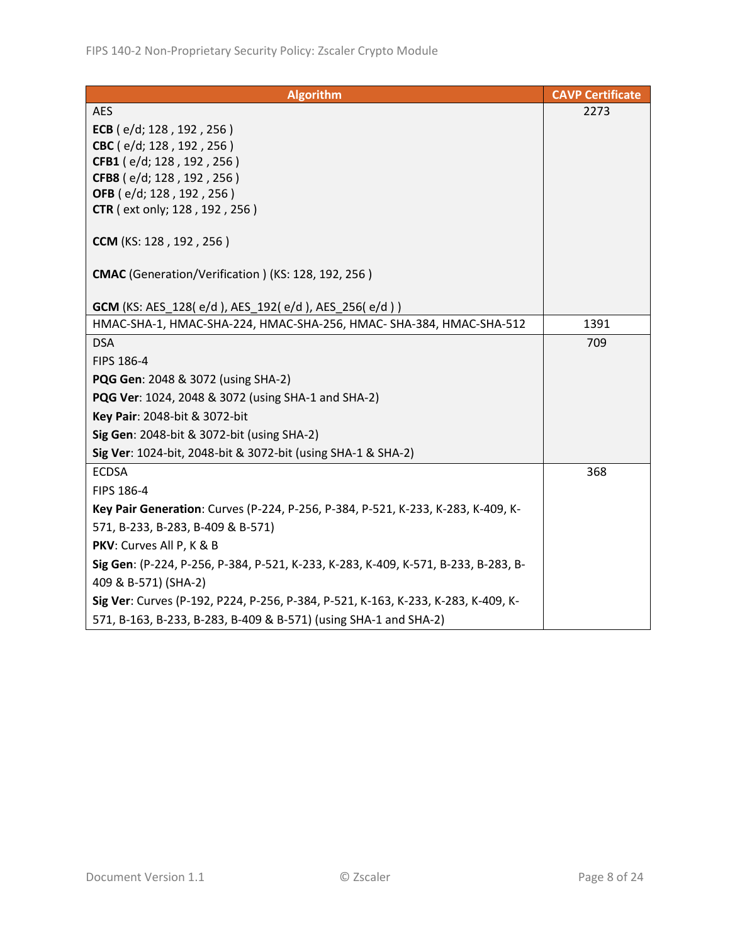| <b>Algorithm</b>                                                                   | <b>CAVP Certificate</b> |
|------------------------------------------------------------------------------------|-------------------------|
| <b>AES</b>                                                                         | 2273                    |
| ECB ( $e/d$ ; 128, 192, 256)                                                       |                         |
| CBC (e/d; 128, 192, 256)                                                           |                         |
| CFB1 (e/d; 128, 192, 256)                                                          |                         |
| CFB8 (e/d; 128, 192, 256)                                                          |                         |
| OFB (e/d; 128, 192, 256)                                                           |                         |
| <b>CTR</b> (ext only; 128, 192, 256)                                               |                         |
| CCM (KS: 128, 192, 256)                                                            |                         |
| CMAC (Generation/Verification) (KS: 128, 192, 256)                                 |                         |
| <b>GCM</b> (KS: AES_128(e/d), AES_192(e/d), AES_256(e/d))                          |                         |
| HMAC-SHA-1, HMAC-SHA-224, HMAC-SHA-256, HMAC- SHA-384, HMAC-SHA-512                | 1391                    |
| <b>DSA</b>                                                                         | 709                     |
| FIPS 186-4                                                                         |                         |
| PQG Gen: 2048 & 3072 (using SHA-2)                                                 |                         |
| PQG Ver: 1024, 2048 & 3072 (using SHA-1 and SHA-2)                                 |                         |
| Key Pair: 2048-bit & 3072-bit                                                      |                         |
| Sig Gen: 2048-bit & 3072-bit (using SHA-2)                                         |                         |
| Sig Ver: 1024-bit, 2048-bit & 3072-bit (using SHA-1 & SHA-2)                       |                         |
| <b>ECDSA</b>                                                                       | 368                     |
| FIPS 186-4                                                                         |                         |
| Key Pair Generation: Curves (P-224, P-256, P-384, P-521, K-233, K-283, K-409, K-   |                         |
| 571, B-233, B-283, B-409 & B-571)                                                  |                         |
| PKV: Curves All P, K & B                                                           |                         |
| Sig Gen: (P-224, P-256, P-384, P-521, K-233, K-283, K-409, K-571, B-233, B-283, B- |                         |
| 409 & B-571) (SHA-2)                                                               |                         |
| Sig Ver: Curves (P-192, P224, P-256, P-384, P-521, K-163, K-233, K-283, K-409, K-  |                         |
| 571, B-163, B-233, B-283, B-409 & B-571) (using SHA-1 and SHA-2)                   |                         |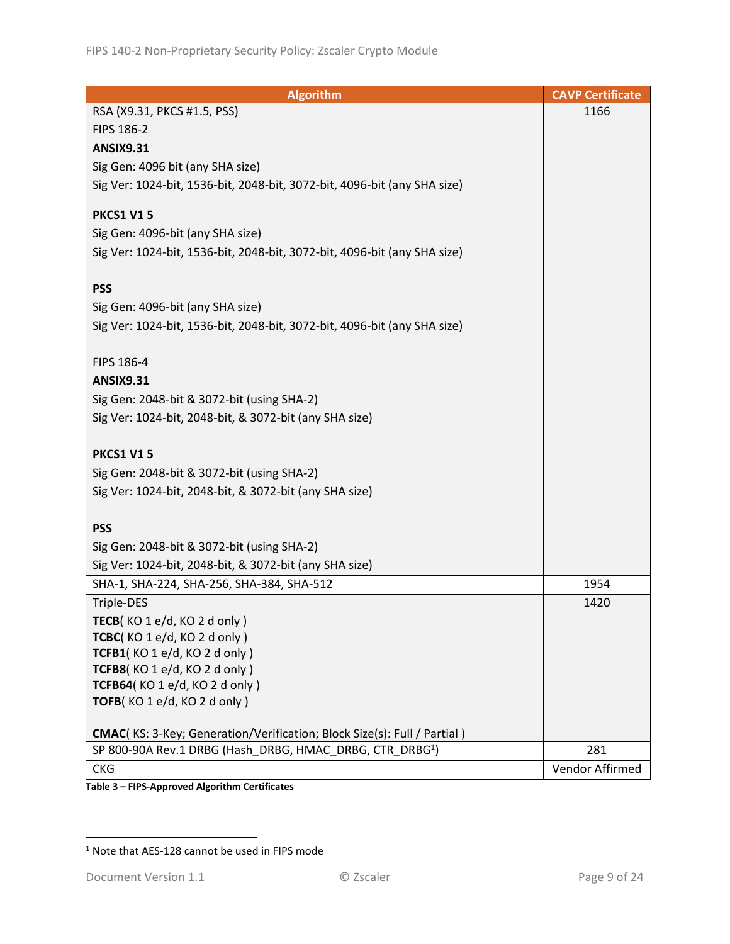| <b>Algorithm</b>                                                                | <b>CAVP Certificate</b> |
|---------------------------------------------------------------------------------|-------------------------|
| RSA (X9.31, PKCS #1.5, PSS)                                                     | 1166                    |
| FIPS 186-2                                                                      |                         |
| <b>ANSIX9.31</b>                                                                |                         |
| Sig Gen: 4096 bit (any SHA size)                                                |                         |
| Sig Ver: 1024-bit, 1536-bit, 2048-bit, 3072-bit, 4096-bit (any SHA size)        |                         |
|                                                                                 |                         |
| <b>PKCS1 V15</b>                                                                |                         |
| Sig Gen: 4096-bit (any SHA size)                                                |                         |
| Sig Ver: 1024-bit, 1536-bit, 2048-bit, 3072-bit, 4096-bit (any SHA size)        |                         |
|                                                                                 |                         |
| <b>PSS</b>                                                                      |                         |
| Sig Gen: 4096-bit (any SHA size)                                                |                         |
| Sig Ver: 1024-bit, 1536-bit, 2048-bit, 3072-bit, 4096-bit (any SHA size)        |                         |
|                                                                                 |                         |
| FIPS 186-4                                                                      |                         |
| <b>ANSIX9.31</b>                                                                |                         |
| Sig Gen: 2048-bit & 3072-bit (using SHA-2)                                      |                         |
| Sig Ver: 1024-bit, 2048-bit, & 3072-bit (any SHA size)                          |                         |
|                                                                                 |                         |
| <b>PKCS1 V15</b>                                                                |                         |
| Sig Gen: 2048-bit & 3072-bit (using SHA-2)                                      |                         |
| Sig Ver: 1024-bit, 2048-bit, & 3072-bit (any SHA size)                          |                         |
|                                                                                 |                         |
| <b>PSS</b>                                                                      |                         |
| Sig Gen: 2048-bit & 3072-bit (using SHA-2)                                      |                         |
| Sig Ver: 1024-bit, 2048-bit, & 3072-bit (any SHA size)                          |                         |
| SHA-1, SHA-224, SHA-256, SHA-384, SHA-512                                       | 1954                    |
| Triple-DES                                                                      | 1420                    |
| TECB( $KO 1 e/d$ , $KO 2 d only$ )                                              |                         |
| TCBC(KO 1 e/d, KO 2 d only)                                                     |                         |
| TCFB1(KO 1 e/d, KO 2 d only)                                                    |                         |
| TCFB8(KO 1 e/d, KO 2 d only)                                                    |                         |
| TCFB64(KO 1 e/d, KO 2 d only)                                                   |                         |
| TOFB(KO1e/d, KO2d only)                                                         |                         |
|                                                                                 |                         |
| <b>CMAC</b> (KS: 3-Key; Generation/Verification; Block Size(s): Full / Partial) |                         |
| SP 800-90A Rev.1 DRBG (Hash DRBG, HMAC DRBG, CTR DRBG <sup>1</sup> )            | 281                     |
| <b>CKG</b>                                                                      | Vendor Affirmed         |

**Table 3 – FIPS-Approved Algorithm Certificates**

<u> 1980 - Johann Barbara, martx</u>

<sup>1</sup> Note that AES-128 cannot be used in FIPS mode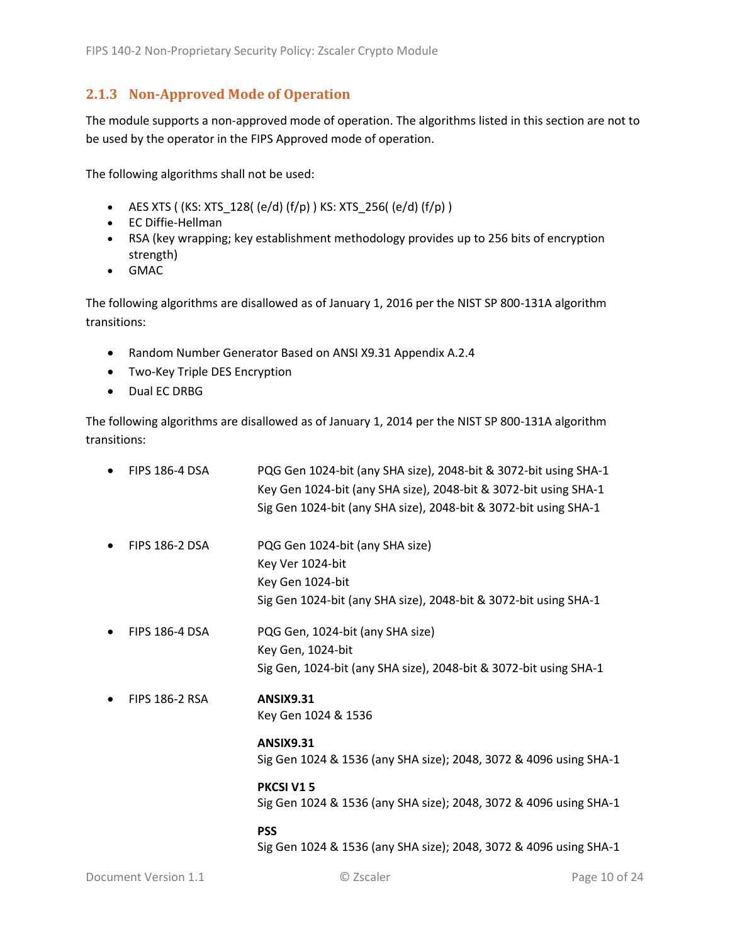#### <span id="page-9-0"></span>**2.1.3 Non-Approved Mode of Operation**

The module supports a non-approved mode of operation. The algorithms listed in this section are not to be used by the operator in the FIPS Approved mode of operation.

The following algorithms shall not be used:

- AES XTS (  $(KS: XTS_128$  (  $(e/d)$   $(f/p)$  )  $KS: XTS_256$  (  $(e/d)$   $(f/p)$  )
- EC Diffie-Hellman
- RSA (key wrapping; key establishment methodology provides up to 256 bits of encryption strength)
- GMAC

The following algorithms are disallowed as of January 1, 2016 per the NIST SP 800-131A algorithm transitions:

- Random Number Generator Based on ANSI X9.31 Appendix A.2.4
- Two-Key Triple DES Encryption
- Dual EC DRBG

The following algorithms are disallowed as of January 1, 2014 per the NIST SP 800-131A algorithm transitions:

| <b>FIPS 186-4 DSA</b> | PQG Gen 1024-bit (any SHA size), 2048-bit & 3072-bit using SHA-1<br>Key Gen 1024-bit (any SHA size), 2048-bit & 3072-bit using SHA-1<br>Sig Gen 1024-bit (any SHA size), 2048-bit & 3072-bit using SHA-1 |
|-----------------------|----------------------------------------------------------------------------------------------------------------------------------------------------------------------------------------------------------|
| <b>FIPS 186-2 DSA</b> | PQG Gen 1024-bit (any SHA size)<br>Key Ver 1024-bit<br>Key Gen 1024-bit<br>Sig Gen 1024-bit (any SHA size), 2048-bit & 3072-bit using SHA-1                                                              |
| <b>FIPS 186-4 DSA</b> | PQG Gen, 1024-bit (any SHA size)<br>Key Gen, 1024-bit<br>Sig Gen, 1024-bit (any SHA size), 2048-bit & 3072-bit using SHA-1                                                                               |
| <b>FIPS 186-2 RSA</b> | <b>ANSIX9.31</b><br>Key Gen 1024 & 1536                                                                                                                                                                  |
|                       | <b>ANSIX9.31</b><br>Sig Gen 1024 & 1536 (any SHA size); 2048, 3072 & 4096 using SHA-1                                                                                                                    |
|                       | <b>PKCSI V15</b><br>Sig Gen 1024 & 1536 (any SHA size); 2048, 3072 & 4096 using SHA-1                                                                                                                    |
|                       | <b>PSS</b><br>Sig Gen 1024 & 1536 (any SHA size); 2048, 3072 & 4096 using SHA-1                                                                                                                          |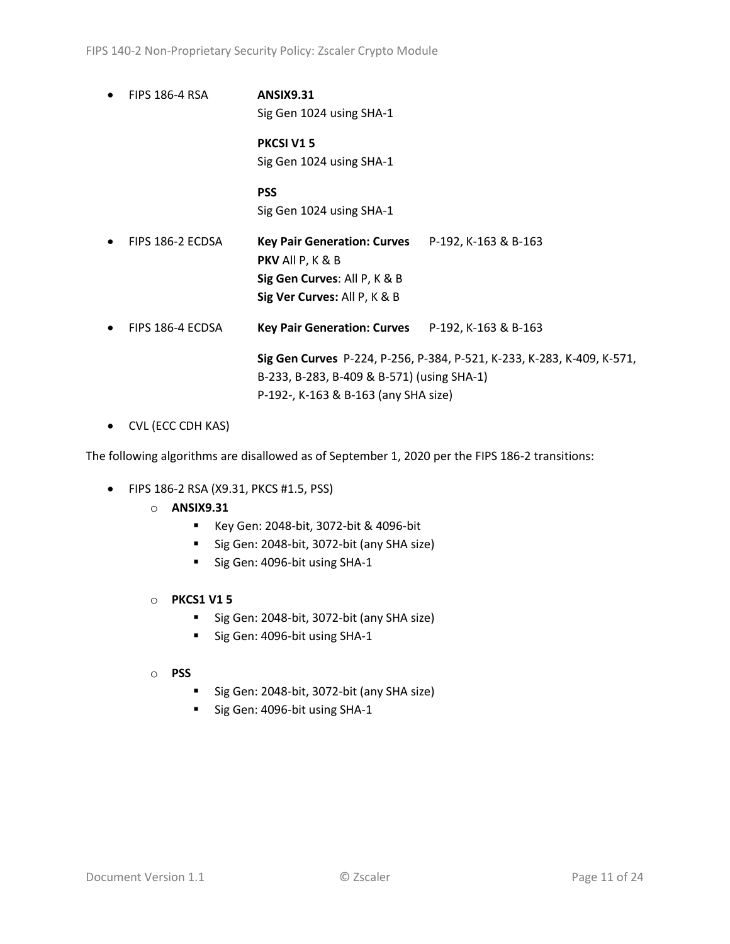• FIPS 186-4 RSA **ANSIX9.31** Sig Gen 1024 using SHA-1

> **PKCSI V1 5** Sig Gen 1024 using SHA-1

> **PSS** Sig Gen 1024 using SHA-1

- FIPS 186-2 ECDSA **Key Pair Generation: Curves** P-192, K-163 & B-163 **PKV** All P, K & B **Sig Gen Curves**: All P, K & B **Sig Ver Curves:** All P, K & B
- FIPS 186-4 ECDSA **Key Pair Generation: Curves** P-192, K-163 & B-163

**Sig Gen Curves** P-224, P-256, P-384, P-521, K-233, K-283, K-409, K-571, B-233, B-283, B-409 & B-571) (using SHA-1) P-192-, K-163 & B-163 (any SHA size)

• CVL (ECC CDH KAS)

The following algorithms are disallowed as of September 1, 2020 per the FIPS 186-2 transitions:

- FIPS 186-2 RSA (X9.31, PKCS #1.5, PSS)
	- o **ANSIX9.31**
		- Key Gen: 2048-bit, 3072-bit & 4096-bit
		- Sig Gen: 2048-bit, 3072-bit (any SHA size)
		- Sig Gen: 4096-bit using SHA-1
	- o **PKCS1 V1 5**
		- Sig Gen: 2048-bit, 3072-bit (any SHA size)
		- Sig Gen: 4096-bit using SHA-1
	- o **PSS**
		- Sig Gen: 2048-bit, 3072-bit (any SHA size)
		- Sig Gen: 4096-bit using SHA-1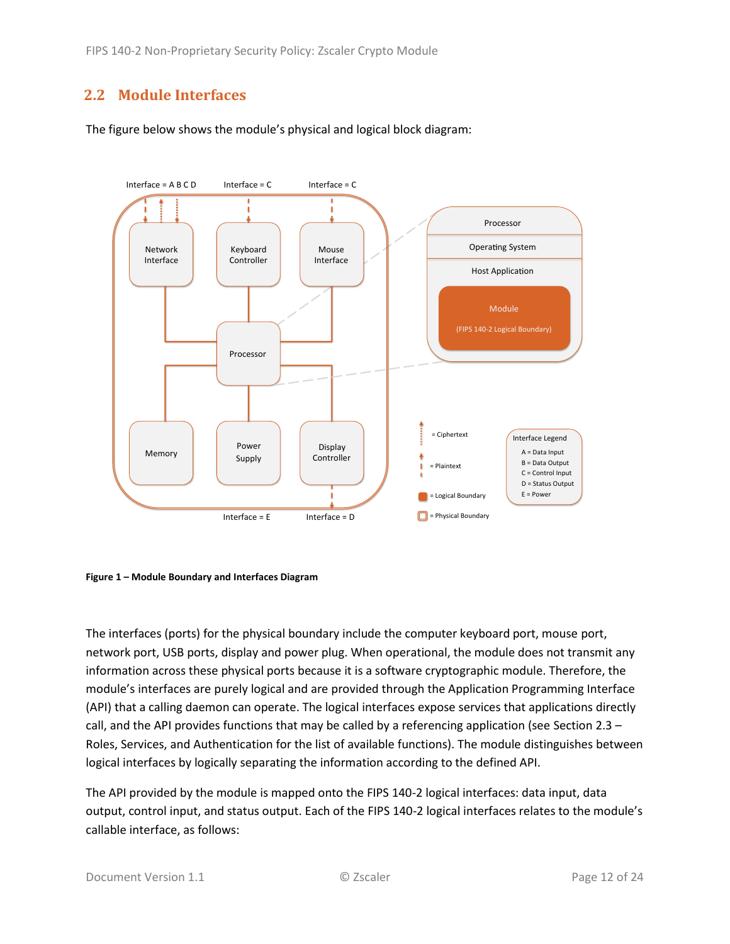#### <span id="page-11-0"></span>**2.2 Module Interfaces**

The figure below shows the module's physical and logical block diagram:



<span id="page-11-1"></span>

The interfaces (ports) for the physical boundary include the computer keyboard port, mouse port, network port, USB ports, display and power plug. When operational, the module does not transmit any information across these physical ports because it is a software cryptographic module. Therefore, the module's interfaces are purely logical and are provided through the Application Programming Interface (API) that a calling daemon can operate. The logical interfaces expose services that applications directly call, and the API provides functions that may be called by a referencing application (see Sectio[n 2.3](#page-12-0) – Roles, Services, [and Authentication](#page-12-0) for the list of available functions). The module distinguishes between logical interfaces by logically separating the information according to the defined API.

The API provided by the module is mapped onto the FIPS 140-2 logical interfaces: data input, data output, control input, and status output. Each of the FIPS 140-2 logical interfaces relates to the module's callable interface, as follows: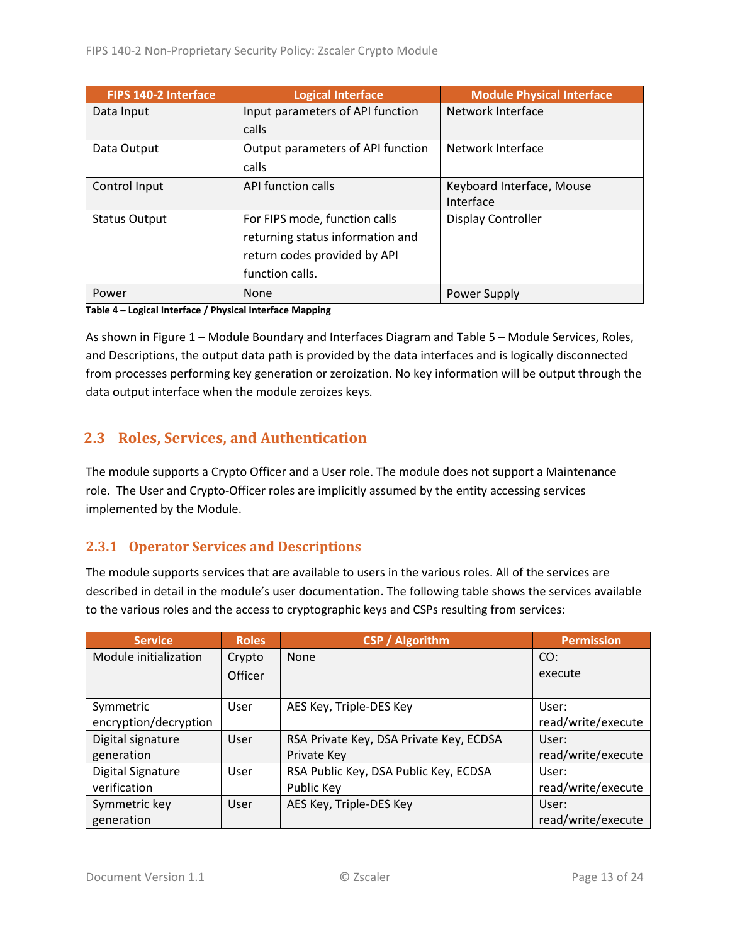| FIPS 140-2 Interface | <b>Logical Interface</b>          | <b>Module Physical Interface</b> |
|----------------------|-----------------------------------|----------------------------------|
| Data Input           | Input parameters of API function  | Network Interface                |
|                      | calls                             |                                  |
| Data Output          | Output parameters of API function | Network Interface                |
|                      | calls                             |                                  |
| Control Input        | API function calls                | Keyboard Interface, Mouse        |
|                      |                                   | Interface                        |
| <b>Status Output</b> | For FIPS mode, function calls     | Display Controller               |
|                      | returning status information and  |                                  |
|                      | return codes provided by API      |                                  |
|                      | function calls.                   |                                  |
| Power                | None                              | Power Supply                     |

**Table 4 – Logical Interface / Physical Interface Mapping**

As shown in Figure 1 – [Module Boundary and Interfaces Diagram](#page-11-1) and Table 5 – Module [Services, Roles,](#page-13-3) [and Descriptions,](#page-13-3) the output data path is provided by the data interfaces and is logically disconnected from processes performing key generation or zeroization. No key information will be output through the data output interface when the module zeroizes keys.

#### <span id="page-12-0"></span>**2.3 Roles, Services, and Authentication**

The module supports a Crypto Officer and a User role. The module does not support a Maintenance role. The User and Crypto-Officer roles are implicitly assumed by the entity accessing services implemented by the Module.

#### <span id="page-12-1"></span>**2.3.1 Operator Services and Descriptions**

The module supports services that are available to users in the various roles. All of the services are described in detail in the module's user documentation. The following table shows the services available to the various roles and the access to cryptographic keys and CSPs resulting from services:

| <b>Service</b>           | <b>Roles</b> | <b>CSP / Algorithm</b>                  | <b>Permission</b>  |
|--------------------------|--------------|-----------------------------------------|--------------------|
| Module initialization    | Crypto       | <b>None</b>                             | CO:                |
|                          | Officer      |                                         | execute            |
|                          |              |                                         |                    |
| Symmetric                | User         | AES Key, Triple-DES Key                 | User:              |
| encryption/decryption    |              |                                         | read/write/execute |
| Digital signature        | User         | RSA Private Key, DSA Private Key, ECDSA | User:              |
| generation               |              | Private Key                             | read/write/execute |
| <b>Digital Signature</b> | User         | RSA Public Key, DSA Public Key, ECDSA   | User:              |
| verification             |              | Public Key                              | read/write/execute |
| Symmetric key            | User         | AES Key, Triple-DES Key                 | User:              |
| generation               |              |                                         | read/write/execute |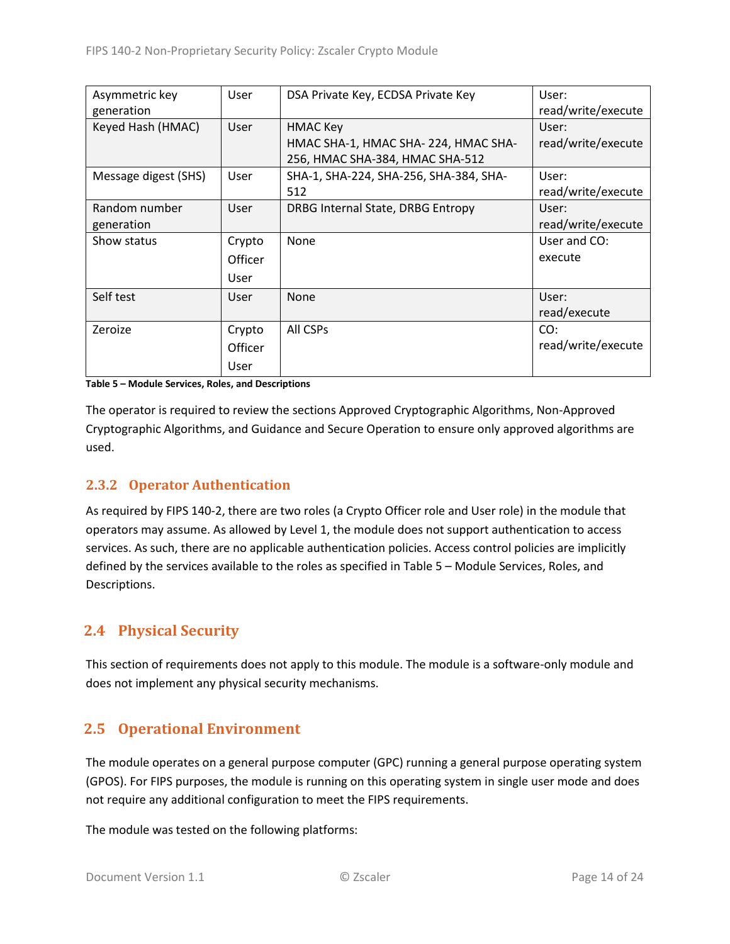| Asymmetric key       | User    | DSA Private Key, ECDSA Private Key     | User:              |
|----------------------|---------|----------------------------------------|--------------------|
| generation           |         |                                        | read/write/execute |
| Keyed Hash (HMAC)    | User    | <b>HMAC Key</b>                        | User:              |
|                      |         | HMAC SHA-1, HMAC SHA- 224, HMAC SHA-   | read/write/execute |
|                      |         | 256, HMAC SHA-384, HMAC SHA-512        |                    |
| Message digest (SHS) | User    | SHA-1, SHA-224, SHA-256, SHA-384, SHA- | User:              |
|                      |         | 512                                    | read/write/execute |
| Random number        | User    | DRBG Internal State, DRBG Entropy      | User:              |
| generation           |         |                                        | read/write/execute |
| Show status          | Crypto  | None                                   | User and CO:       |
|                      | Officer |                                        | execute            |
|                      | User    |                                        |                    |
| Self test            | User    | None                                   | User:              |
|                      |         |                                        | read/execute       |
| Zeroize              | Crypto  | All CSPs                               | CO:                |
|                      | Officer |                                        | read/write/execute |
|                      | User    |                                        |                    |

<span id="page-13-3"></span>**Table 5 – Module Services, Roles, and Descriptions**

The operator is required to review the sections Approved Cryptographic Algorithms, Non-Approved Cryptographic Algorithms, and Guidance and Secure Operation to ensure only approved algorithms are used.

#### <span id="page-13-0"></span>**2.3.2 Operator Authentication**

As required by FIPS 140-2, there are two roles (a Crypto Officer role and User role) in the module that operators may assume. As allowed by Level 1, the module does not support authentication to access services. As such, there are no applicable authentication policies. Access control policies are implicitly defined by the services available to the roles as specified in Table 5 – Module [Services, Roles,](#page-13-3) and [Descriptions.](#page-13-3)

#### <span id="page-13-1"></span>**2.4 Physical Security**

This section of requirements does not apply to this module. The module is a software-only module and does not implement any physical security mechanisms.

#### <span id="page-13-2"></span>**2.5 Operational Environment**

The module operates on a general purpose computer (GPC) running a general purpose operating system (GPOS). For FIPS purposes, the module is running on this operating system in single user mode and does not require any additional configuration to meet the FIPS requirements.

The module was tested on the following platforms: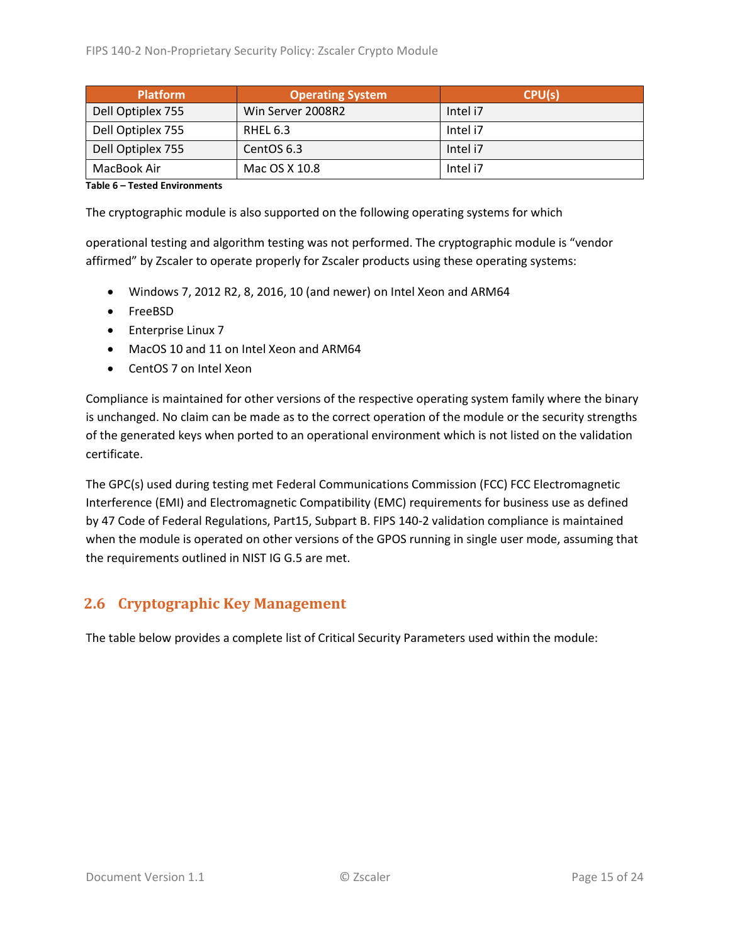| <b>Platform</b>   | <b>Operating System</b> | CPU(s)   |
|-------------------|-------------------------|----------|
| Dell Optiplex 755 | Win Server 2008R2       | Intel i7 |
| Dell Optiplex 755 | RHEL 6.3                | Intel i7 |
| Dell Optiplex 755 | CentOS 6.3              | Intel i7 |
| MacBook Air       | Mac OS X 10.8           | Intel i7 |

#### **Table 6 – Tested Environments**

The cryptographic module is also supported on the following operating systems for which

operational testing and algorithm testing was not performed. The cryptographic module is "vendor affirmed" by Zscaler to operate properly for Zscaler products using these operating systems:

- Windows 7, 2012 R2, 8, 2016, 10 (and newer) on Intel Xeon and ARM64
- FreeBSD
- Enterprise Linux 7
- MacOS 10 and 11 on Intel Xeon and ARM64
- CentOS 7 on Intel Xeon

Compliance is maintained for other versions of the respective operating system family where the binary is unchanged. No claim can be made as to the correct operation of the module or the security strengths of the generated keys when ported to an operational environment which is not listed on the validation certificate.

The GPC(s) used during testing met Federal Communications Commission (FCC) FCC Electromagnetic Interference (EMI) and Electromagnetic Compatibility (EMC) requirements for business use as defined by 47 Code of Federal Regulations, Part15, Subpart B. FIPS 140-2 validation compliance is maintained when the module is operated on other versions of the GPOS running in single user mode, assuming that the requirements outlined in NIST IG G.5 are met.

#### <span id="page-14-0"></span>**2.6 Cryptographic Key Management**

The table below provides a complete list of Critical Security Parameters used within the module: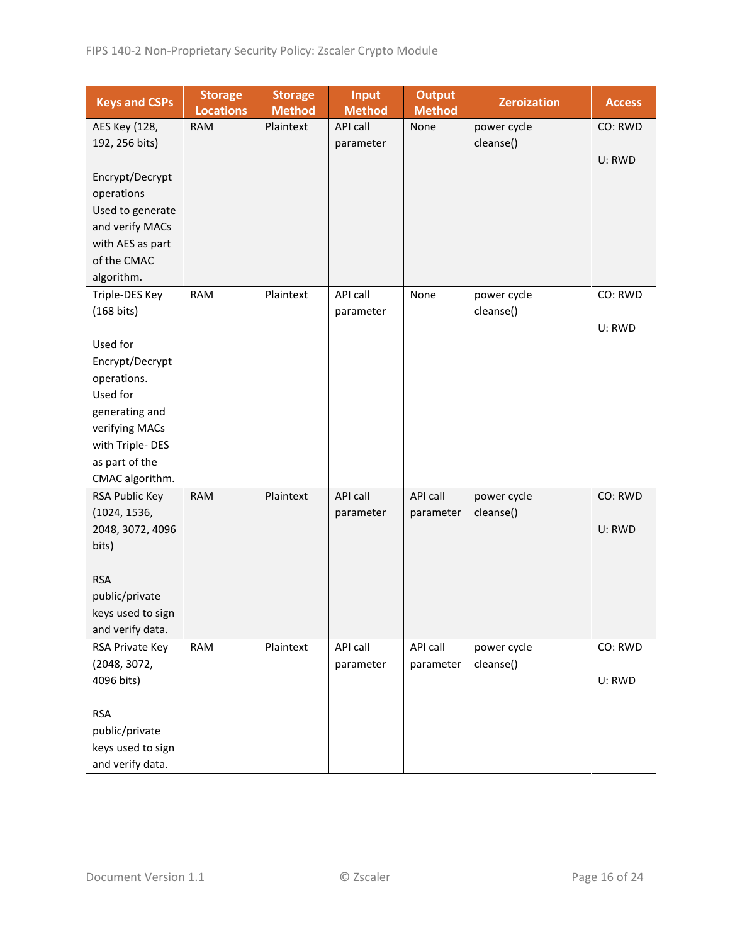| <b>Keys and CSPs</b> | <b>Storage</b><br><b>Locations</b> | <b>Storage</b><br><b>Method</b> | <b>Input</b><br><b>Method</b> | <b>Output</b><br><b>Method</b> | <b>Zeroization</b> | <b>Access</b> |
|----------------------|------------------------------------|---------------------------------|-------------------------------|--------------------------------|--------------------|---------------|
| AES Key (128,        | <b>RAM</b>                         | Plaintext                       | API call                      | None                           | power cycle        | CO: RWD       |
| 192, 256 bits)       |                                    |                                 | parameter                     |                                | cleanse()          |               |
|                      |                                    |                                 |                               |                                |                    | U: RWD        |
| Encrypt/Decrypt      |                                    |                                 |                               |                                |                    |               |
| operations           |                                    |                                 |                               |                                |                    |               |
| Used to generate     |                                    |                                 |                               |                                |                    |               |
| and verify MACs      |                                    |                                 |                               |                                |                    |               |
| with AES as part     |                                    |                                 |                               |                                |                    |               |
| of the CMAC          |                                    |                                 |                               |                                |                    |               |
| algorithm.           |                                    |                                 |                               |                                |                    |               |
| Triple-DES Key       | RAM                                | Plaintext                       | API call                      | None                           | power cycle        | CO: RWD       |
| $(168 \text{ bits})$ |                                    |                                 | parameter                     |                                | cleanse()          |               |
|                      |                                    |                                 |                               |                                |                    | U: RWD        |
| Used for             |                                    |                                 |                               |                                |                    |               |
| Encrypt/Decrypt      |                                    |                                 |                               |                                |                    |               |
| operations.          |                                    |                                 |                               |                                |                    |               |
| Used for             |                                    |                                 |                               |                                |                    |               |
| generating and       |                                    |                                 |                               |                                |                    |               |
| verifying MACs       |                                    |                                 |                               |                                |                    |               |
| with Triple-DES      |                                    |                                 |                               |                                |                    |               |
| as part of the       |                                    |                                 |                               |                                |                    |               |
| CMAC algorithm.      |                                    |                                 |                               |                                |                    |               |
| RSA Public Key       | <b>RAM</b>                         | Plaintext                       | API call                      | API call                       | power cycle        | CO: RWD       |
| (1024, 1536,         |                                    |                                 | parameter                     | parameter                      | cleanse()          |               |
| 2048, 3072, 4096     |                                    |                                 |                               |                                |                    | U: RWD        |
| bits)                |                                    |                                 |                               |                                |                    |               |
|                      |                                    |                                 |                               |                                |                    |               |
| <b>RSA</b>           |                                    |                                 |                               |                                |                    |               |
| public/private       |                                    |                                 |                               |                                |                    |               |
| keys used to sign    |                                    |                                 |                               |                                |                    |               |
| and verify data.     |                                    |                                 |                               |                                |                    |               |
| RSA Private Key      | <b>RAM</b>                         | Plaintext                       | API call                      | API call                       | power cycle        | CO: RWD       |
| (2048, 3072,         |                                    |                                 | parameter                     | parameter                      | cleanse()          |               |
| 4096 bits)           |                                    |                                 |                               |                                |                    | U: RWD        |
|                      |                                    |                                 |                               |                                |                    |               |
| <b>RSA</b>           |                                    |                                 |                               |                                |                    |               |
| public/private       |                                    |                                 |                               |                                |                    |               |
| keys used to sign    |                                    |                                 |                               |                                |                    |               |
| and verify data.     |                                    |                                 |                               |                                |                    |               |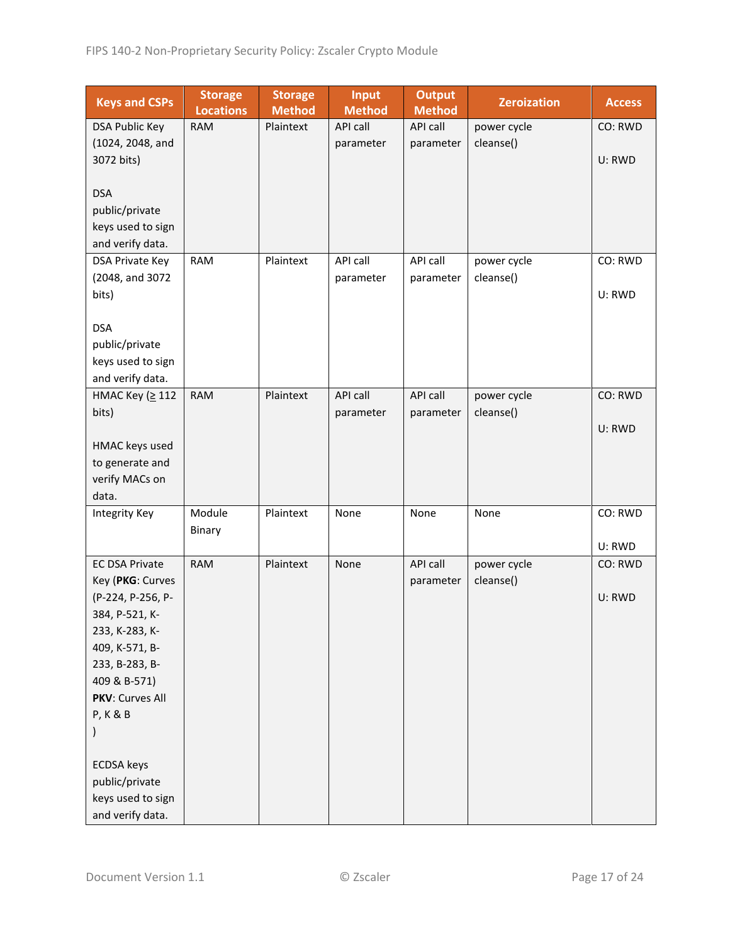| <b>Keys and CSPs</b>  | <b>Storage</b><br><b>Locations</b> | <b>Storage</b><br><b>Method</b> | <b>Input</b><br><b>Method</b> | <b>Output</b><br><b>Method</b> | <b>Zeroization</b> | <b>Access</b> |
|-----------------------|------------------------------------|---------------------------------|-------------------------------|--------------------------------|--------------------|---------------|
| <b>DSA Public Key</b> | <b>RAM</b>                         | Plaintext                       | API call                      | API call                       | power cycle        | CO: RWD       |
| (1024, 2048, and      |                                    |                                 | parameter                     | parameter                      | cleanse()          |               |
| 3072 bits)            |                                    |                                 |                               |                                |                    | U: RWD        |
|                       |                                    |                                 |                               |                                |                    |               |
| <b>DSA</b>            |                                    |                                 |                               |                                |                    |               |
| public/private        |                                    |                                 |                               |                                |                    |               |
| keys used to sign     |                                    |                                 |                               |                                |                    |               |
| and verify data.      |                                    |                                 |                               |                                |                    |               |
| DSA Private Key       | <b>RAM</b>                         | Plaintext                       | API call                      | API call                       | power cycle        | CO: RWD       |
| (2048, and 3072       |                                    |                                 | parameter                     | parameter                      | cleanse()          |               |
| bits)                 |                                    |                                 |                               |                                |                    | U: RWD        |
|                       |                                    |                                 |                               |                                |                    |               |
| <b>DSA</b>            |                                    |                                 |                               |                                |                    |               |
| public/private        |                                    |                                 |                               |                                |                    |               |
| keys used to sign     |                                    |                                 |                               |                                |                    |               |
| and verify data.      |                                    |                                 |                               |                                |                    |               |
| НМАС Кеу (≥ 112       | <b>RAM</b>                         | Plaintext                       | <b>API call</b>               | API call                       | power cycle        | CO: RWD       |
| bits)                 |                                    |                                 | parameter                     | parameter                      | cleanse()          |               |
|                       |                                    |                                 |                               |                                |                    | U: RWD        |
| HMAC keys used        |                                    |                                 |                               |                                |                    |               |
| to generate and       |                                    |                                 |                               |                                |                    |               |
| verify MACs on        |                                    |                                 |                               |                                |                    |               |
| data.                 |                                    |                                 |                               |                                |                    |               |
| Integrity Key         | Module                             | Plaintext                       | None                          | None                           | None               | CO: RWD       |
|                       | Binary                             |                                 |                               |                                |                    | U: RWD        |
| <b>EC DSA Private</b> | <b>RAM</b>                         | Plaintext                       | None                          | API call                       | power cycle        | CO: RWD       |
| Key (PKG: Curves      |                                    |                                 |                               | parameter                      | cleanse()          |               |
| (P-224, P-256, P-     |                                    |                                 |                               |                                |                    | U: RWD        |
| 384, P-521, K-        |                                    |                                 |                               |                                |                    |               |
| 233, K-283, K-        |                                    |                                 |                               |                                |                    |               |
| 409, K-571, B-        |                                    |                                 |                               |                                |                    |               |
| 233, B-283, B-        |                                    |                                 |                               |                                |                    |               |
| 409 & B-571)          |                                    |                                 |                               |                                |                    |               |
| PKV: Curves All       |                                    |                                 |                               |                                |                    |               |
| P, K & B              |                                    |                                 |                               |                                |                    |               |
|                       |                                    |                                 |                               |                                |                    |               |
|                       |                                    |                                 |                               |                                |                    |               |
| <b>ECDSA</b> keys     |                                    |                                 |                               |                                |                    |               |
| public/private        |                                    |                                 |                               |                                |                    |               |
| keys used to sign     |                                    |                                 |                               |                                |                    |               |
| and verify data.      |                                    |                                 |                               |                                |                    |               |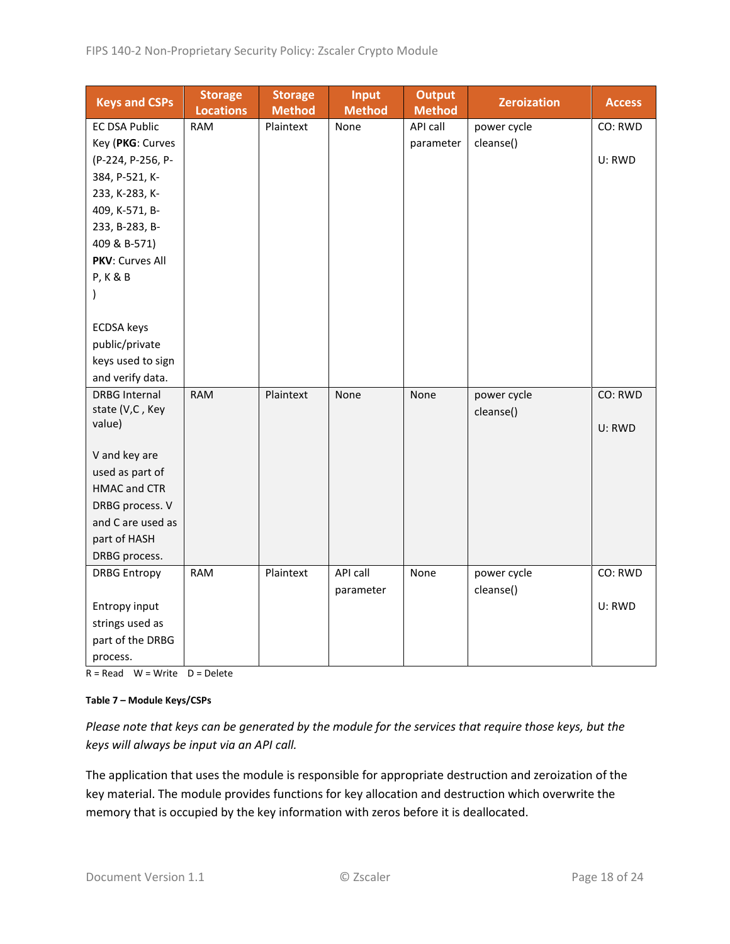| <b>Keys and CSPs</b>      | <b>Storage</b><br><b>Locations</b> | <b>Storage</b><br><b>Method</b> | Input<br><b>Method</b> | <b>Output</b><br><b>Method</b> | <b>Zeroization</b> | <b>Access</b> |
|---------------------------|------------------------------------|---------------------------------|------------------------|--------------------------------|--------------------|---------------|
| <b>EC DSA Public</b>      | <b>RAM</b>                         | Plaintext                       | None                   | API call                       | power cycle        | CO: RWD       |
| Key (PKG: Curves          |                                    |                                 |                        | parameter                      | cleanse()          |               |
| (P-224, P-256, P-         |                                    |                                 |                        |                                |                    | U: RWD        |
| 384, P-521, K-            |                                    |                                 |                        |                                |                    |               |
| 233, K-283, K-            |                                    |                                 |                        |                                |                    |               |
| 409, K-571, B-            |                                    |                                 |                        |                                |                    |               |
| 233, B-283, B-            |                                    |                                 |                        |                                |                    |               |
| 409 & B-571)              |                                    |                                 |                        |                                |                    |               |
| PKV: Curves All           |                                    |                                 |                        |                                |                    |               |
| <b>P, K &amp; B</b>       |                                    |                                 |                        |                                |                    |               |
| )                         |                                    |                                 |                        |                                |                    |               |
|                           |                                    |                                 |                        |                                |                    |               |
| <b>ECDSA</b> keys         |                                    |                                 |                        |                                |                    |               |
| public/private            |                                    |                                 |                        |                                |                    |               |
| keys used to sign         |                                    |                                 |                        |                                |                    |               |
| and verify data.          |                                    |                                 |                        |                                |                    |               |
| <b>DRBG Internal</b>      | <b>RAM</b>                         | Plaintext                       | None                   | None                           | power cycle        | CO: RWD       |
| state (V,C, Key<br>value) |                                    |                                 |                        |                                | cleanse()          |               |
|                           |                                    |                                 |                        |                                |                    | U: RWD        |
| V and key are             |                                    |                                 |                        |                                |                    |               |
| used as part of           |                                    |                                 |                        |                                |                    |               |
| <b>HMAC and CTR</b>       |                                    |                                 |                        |                                |                    |               |
| DRBG process. V           |                                    |                                 |                        |                                |                    |               |
| and C are used as         |                                    |                                 |                        |                                |                    |               |
| part of HASH              |                                    |                                 |                        |                                |                    |               |
| DRBG process.             |                                    |                                 |                        |                                |                    |               |
| <b>DRBG Entropy</b>       | <b>RAM</b>                         | Plaintext                       | API call               | None                           | power cycle        | CO: RWD       |
|                           |                                    |                                 | parameter              |                                | cleanse()          |               |
| Entropy input             |                                    |                                 |                        |                                |                    | U: RWD        |
| strings used as           |                                    |                                 |                        |                                |                    |               |
| part of the DRBG          |                                    |                                 |                        |                                |                    |               |
| process.                  |                                    |                                 |                        |                                |                    |               |

 $R = Read$  W = Write D = Delete

#### **Table 7 – Module Keys/CSPs**

*Please note that keys can be generated by the module for the services that require those keys, but the keys will always be input via an API call.*

The application that uses the module is responsible for appropriate destruction and zeroization of the key material. The module provides functions for key allocation and destruction which overwrite the memory that is occupied by the key information with zeros before it is deallocated.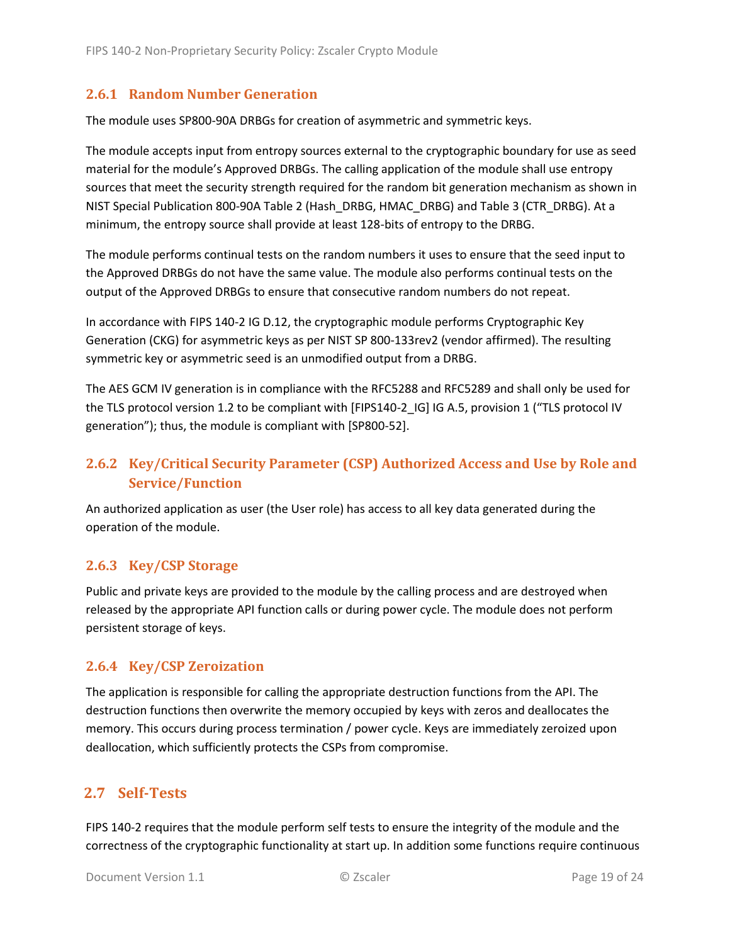#### <span id="page-18-0"></span>**2.6.1 Random Number Generation**

The module uses SP800-90A DRBGs for creation of asymmetric and symmetric keys.

The module accepts input from entropy sources external to the cryptographic boundary for use as seed material for the module's Approved DRBGs. The calling application of the module shall use entropy sources that meet the security strength required for the random bit generation mechanism as shown in NIST Special Publication 800-90A Table 2 (Hash\_DRBG, HMAC\_DRBG) and Table 3 (CTR\_DRBG). At a minimum, the entropy source shall provide at least 128-bits of entropy to the DRBG.

The module performs continual tests on the random numbers it uses to ensure that the seed input to the Approved DRBGs do not have the same value. The module also performs continual tests on the output of the Approved DRBGs to ensure that consecutive random numbers do not repeat.

In accordance with FIPS 140-2 IG D.12, the cryptographic module performs Cryptographic Key Generation (CKG) for asymmetric keys as per NIST SP 800-133rev2 (vendor affirmed). The resulting symmetric key or asymmetric seed is an unmodified output from a DRBG.

The AES GCM IV generation is in compliance with the RFC5288 and RFC5289 and shall only be used for the TLS protocol version 1.2 to be compliant with [FIPS140-2 IG] IG A.5, provision 1 ("TLS protocol IV generation"); thus, the module is compliant with [SP800-52].

### <span id="page-18-1"></span>**2.6.2 Key/Critical Security Parameter (CSP) Authorized Access and Use by Role and Service/Function**

An authorized application as user (the User role) has access to all key data generated during the operation of the module.

#### <span id="page-18-2"></span>**2.6.3 Key/CSP Storage**

Public and private keys are provided to the module by the calling process and are destroyed when released by the appropriate API function calls or during power cycle. The module does not perform persistent storage of keys.

#### <span id="page-18-3"></span>**2.6.4 Key/CSP Zeroization**

The application is responsible for calling the appropriate destruction functions from the API. The destruction functions then overwrite the memory occupied by keys with zeros and deallocates the memory. This occurs during process termination / power cycle. Keys are immediately zeroized upon deallocation, which sufficiently protects the CSPs from compromise.

#### <span id="page-18-4"></span>**2.7 Self-Tests**

FIPS 140-2 requires that the module perform self tests to ensure the integrity of the module and the correctness of the cryptographic functionality at start up. In addition some functions require continuous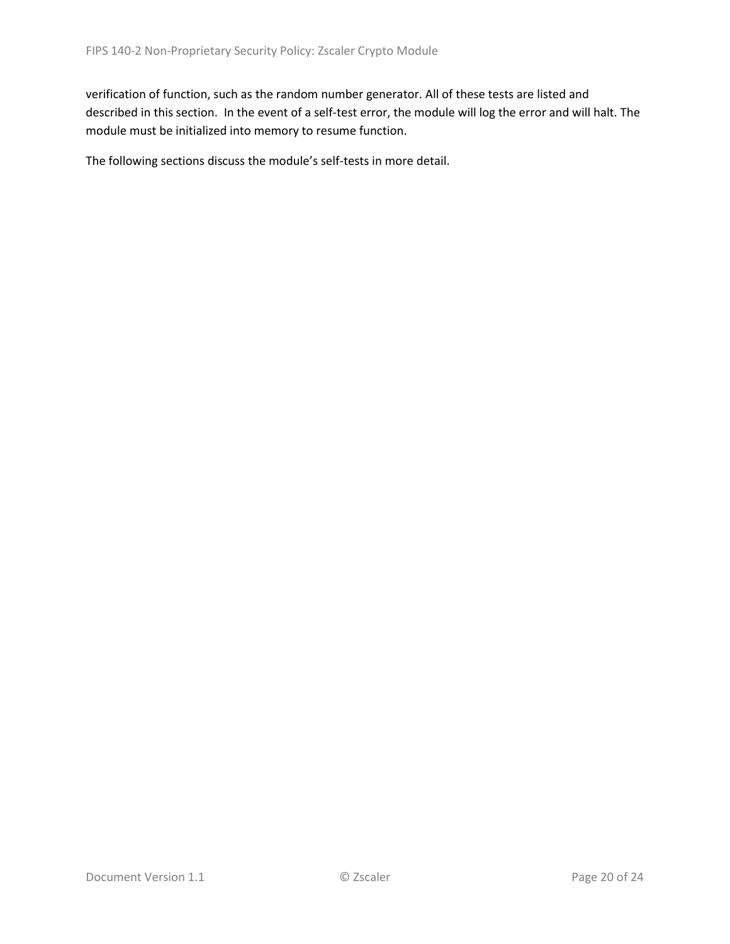verification of function, such as the random number generator. All of these tests are listed and described in this section. In the event of a self-test error, the module will log the error and will halt. The module must be initialized into memory to resume function.

The following sections discuss the module's self-tests in more detail.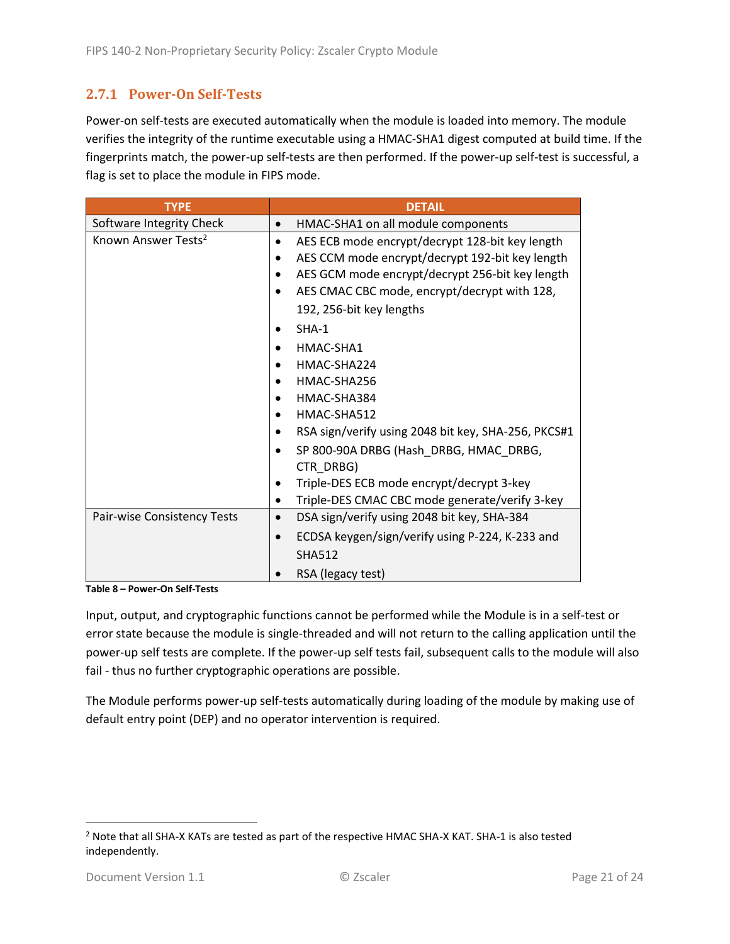#### <span id="page-20-0"></span>**2.7.1 Power-On Self-Tests**

Power-on self-tests are executed automatically when the module is loaded into memory. The module verifies the integrity of the runtime executable using a HMAC-SHA1 digest computed at build time. If the fingerprints match, the power-up self-tests are then performed. If the power-up self-test is successful, a flag is set to place the module in FIPS mode.

| <b>TYPE</b>                     | <b>DETAIL</b>                                                |  |  |  |
|---------------------------------|--------------------------------------------------------------|--|--|--|
| Software Integrity Check        | HMAC-SHA1 on all module components                           |  |  |  |
| Known Answer Tests <sup>2</sup> | AES ECB mode encrypt/decrypt 128-bit key length<br>$\bullet$ |  |  |  |
|                                 | AES CCM mode encrypt/decrypt 192-bit key length              |  |  |  |
|                                 | AES GCM mode encrypt/decrypt 256-bit key length              |  |  |  |
|                                 | AES CMAC CBC mode, encrypt/decrypt with 128,                 |  |  |  |
|                                 | 192, 256-bit key lengths                                     |  |  |  |
|                                 | $SHA-1$                                                      |  |  |  |
|                                 | HMAC-SHA1                                                    |  |  |  |
|                                 | HMAC-SHA224                                                  |  |  |  |
|                                 | HMAC-SHA256                                                  |  |  |  |
|                                 | HMAC-SHA384                                                  |  |  |  |
|                                 | HMAC-SHA512                                                  |  |  |  |
|                                 | RSA sign/verify using 2048 bit key, SHA-256, PKCS#1          |  |  |  |
|                                 | SP 800-90A DRBG (Hash_DRBG, HMAC_DRBG,                       |  |  |  |
|                                 | CTR DRBG)                                                    |  |  |  |
|                                 | Triple-DES ECB mode encrypt/decrypt 3-key                    |  |  |  |
|                                 | Triple-DES CMAC CBC mode generate/verify 3-key               |  |  |  |
| Pair-wise Consistency Tests     | DSA sign/verify using 2048 bit key, SHA-384<br>$\bullet$     |  |  |  |
|                                 | ECDSA keygen/sign/verify using P-224, K-233 and              |  |  |  |
|                                 | <b>SHA512</b>                                                |  |  |  |
|                                 | RSA (legacy test)                                            |  |  |  |

**Table 8 – Power-On Self-Tests**

Input, output, and cryptographic functions cannot be performed while the Module is in a self-test or error state because the module is single-threaded and will not return to the calling application until the power-up self tests are complete. If the power-up self tests fail, subsequent calls to the module will also fail - thus no further cryptographic operations are possible.

The Module performs power-up self-tests automatically during loading of the module by making use of default entry point (DEP) and no operator intervention is required.

<sup>&</sup>lt;sup>2</sup> Note that all SHA-X KATs are tested as part of the respective HMAC SHA-X KAT. SHA-1 is also tested independently.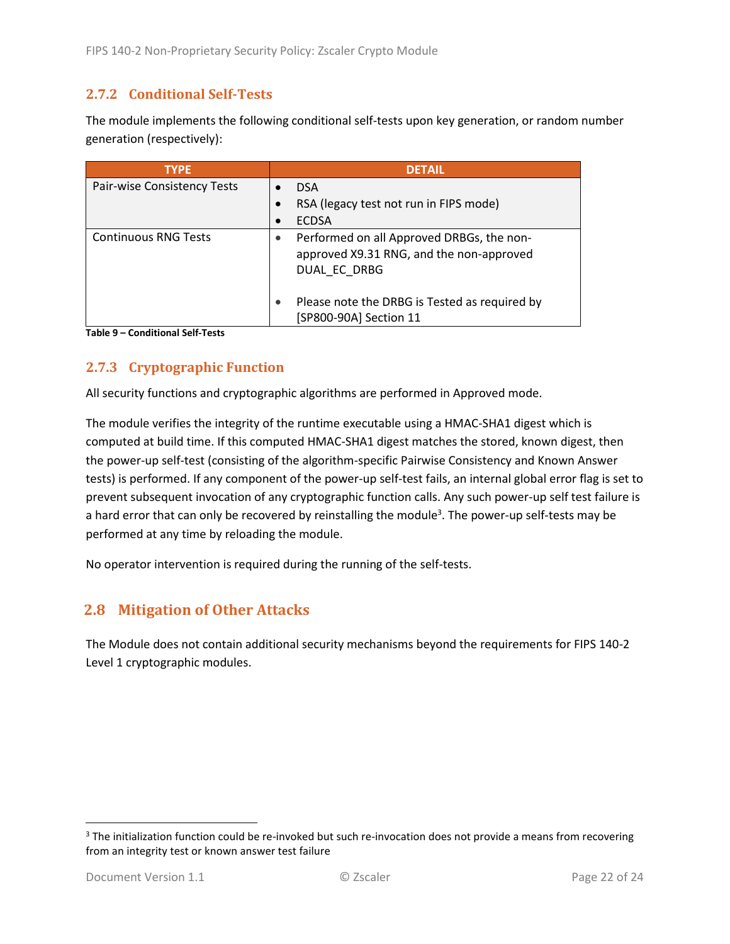#### <span id="page-21-0"></span>**2.7.2 Conditional Self-Tests**

The module implements the following conditional self-tests upon key generation, or random number generation (respectively):

| <b>TYPE</b>                 | <b>DETAIL</b>                                                                                         |
|-----------------------------|-------------------------------------------------------------------------------------------------------|
| Pair-wise Consistency Tests | <b>DSA</b>                                                                                            |
|                             | RSA (legacy test not run in FIPS mode)                                                                |
|                             | <b>ECDSA</b>                                                                                          |
| <b>Continuous RNG Tests</b> | Performed on all Approved DRBGs, the non-<br>approved X9.31 RNG, and the non-approved<br>DUAL EC DRBG |
|                             | Please note the DRBG is Tested as required by<br>[SP800-90A] Section 11                               |

**Table 9 – Conditional Self-Tests**

#### <span id="page-21-1"></span>**2.7.3 Cryptographic Function**

All security functions and cryptographic algorithms are performed in Approved mode.

The module verifies the integrity of the runtime executable using a HMAC-SHA1 digest which is computed at build time. If this computed HMAC-SHA1 digest matches the stored, known digest, then the power-up self-test (consisting of the algorithm-specific Pairwise Consistency and Known Answer tests) is performed. If any component of the power-up self-test fails, an internal global error flag is set to prevent subsequent invocation of any cryptographic function calls. Any such power-up self test failure is a hard error that can only be recovered by reinstalling the module<sup>3</sup>. The power-up self-tests may be performed at any time by reloading the module.

No operator intervention is required during the running of the self-tests.

### <span id="page-21-2"></span>**2.8 Mitigation of Other Attacks**

The Module does not contain additional security mechanisms beyond the requirements for FIPS 140-2 Level 1 cryptographic modules.

<sup>&</sup>lt;sup>3</sup> The initialization function could be re-invoked but such re-invocation does not provide a means from recovering from an integrity test or known answer test failure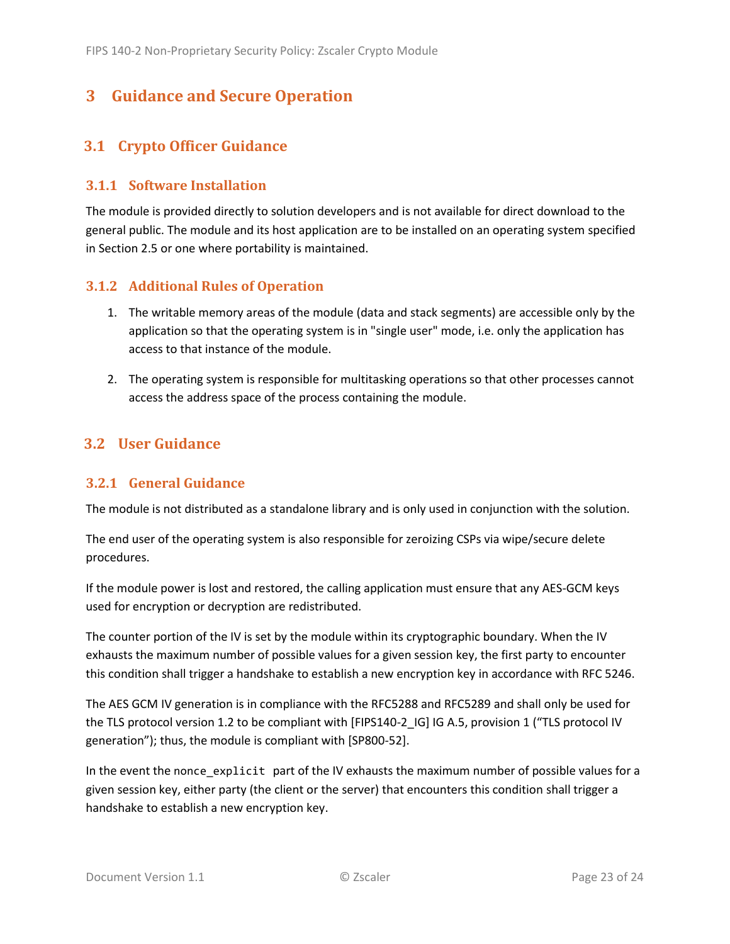### <span id="page-22-0"></span>**3 Guidance and Secure Operation**

#### <span id="page-22-1"></span>**3.1 Crypto Officer Guidance**

#### <span id="page-22-2"></span>**3.1.1 Software Installation**

The module is provided directly to solution developers and is not available for direct download to the general public. The module and its host application are to be installed on an operating system specified in Section [2.5](#page-13-2) or one where portability is maintained.

#### <span id="page-22-3"></span>**3.1.2 Additional Rules of Operation**

- 1. The writable memory areas of the module (data and stack segments) are accessible only by the application so that the operating system is in "single user" mode, i.e. only the application has access to that instance of the module.
- 2. The operating system is responsible for multitasking operations so that other processes cannot access the address space of the process containing the module.

#### <span id="page-22-4"></span>**3.2 User Guidance**

#### <span id="page-22-5"></span>**3.2.1 General Guidance**

The module is not distributed as a standalone library and is only used in conjunction with the solution.

The end user of the operating system is also responsible for zeroizing CSPs via wipe/secure delete procedures.

If the module power is lost and restored, the calling application must ensure that any AES-GCM keys used for encryption or decryption are redistributed.

The counter portion of the IV is set by the module within its cryptographic boundary. When the IV exhausts the maximum number of possible values for a given session key, the first party to encounter this condition shall trigger a handshake to establish a new encryption key in accordance with RFC 5246.

The AES GCM IV generation is in compliance with the RFC5288 and RFC5289 and shall only be used for the TLS protocol version 1.2 to be compliant with [FIPS140-2 IG] IG A.5, provision 1 ("TLS protocol IV generation"); thus, the module is compliant with [SP800-52].

In the event the nonce\_explicit part of the IV exhausts the maximum number of possible values for a given session key, either party (the client or the server) that encounters this condition shall trigger a handshake to establish a new encryption key.